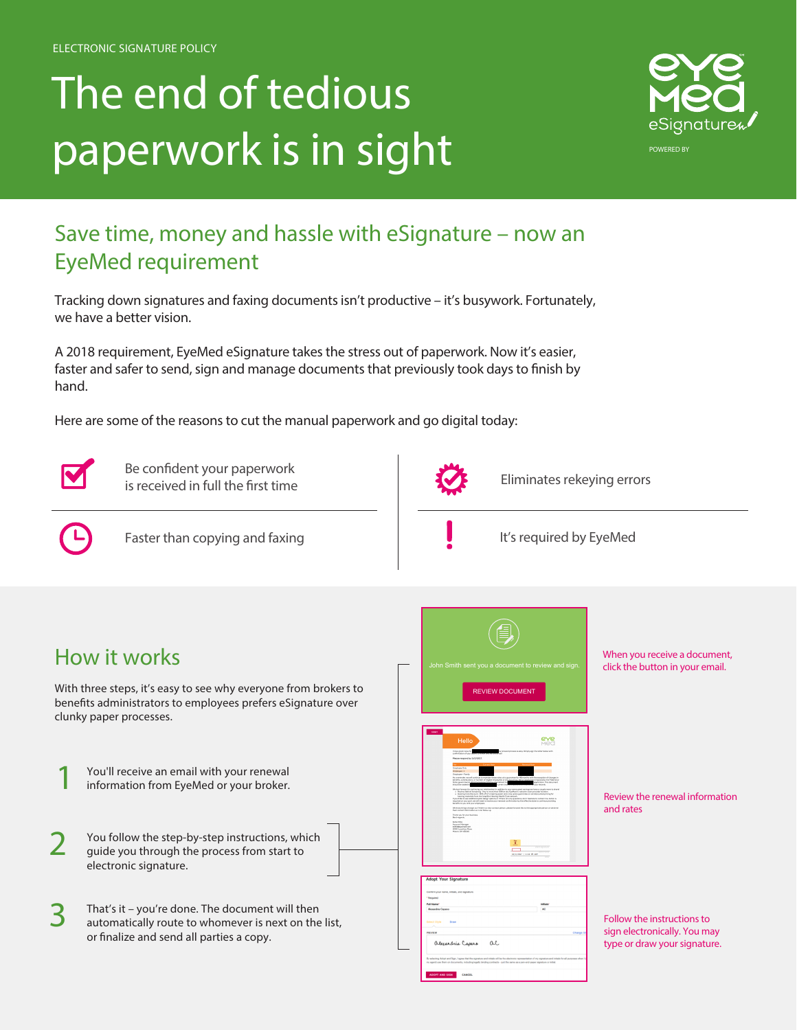# The end of tedious paperwork is in sight



## **Save time, money and hassle with eSignature – now an EyeMed requirement**

Tracking down signatures and faxing documents isn't productive – it's busywork. Fortunately, we have a better vision.

A 2018 requirement, EyeMed eSignature takes the stress out of paperwork. Now it's easier, faster and safer to send, sign and manage documents that previously took days to finish by hand.

Here are some of the reasons to cut the manual paperwork and go digital today:



**Be confident your paperwork is received in full the first time** 



**Eliminates rekeying errors**

1

**Faster than copying and faxing**

**It's required by EyeMed**

## **How it works**

With three steps, it's easy to see why everyone from brokers to benefits administrators to employees prefers eSignature over clunky paper processes.

You'll receive an email with your renewal information from EyeMed or your broker.

| $\bigcap$ | You follow the step-by-step instructions, which |
|-----------|-------------------------------------------------|
|           | guide you through the process from start to     |
|           | electronic signature.                           |

That's it - you're done. The document will then automatically route to whomever is next on the list, or finalize and send all parties a copy.



SA Campa ac

When you receive a document, click the button in your email.

Review the renewal information and rates

Follow the instructions to sign electronically. You may type or draw your signature.